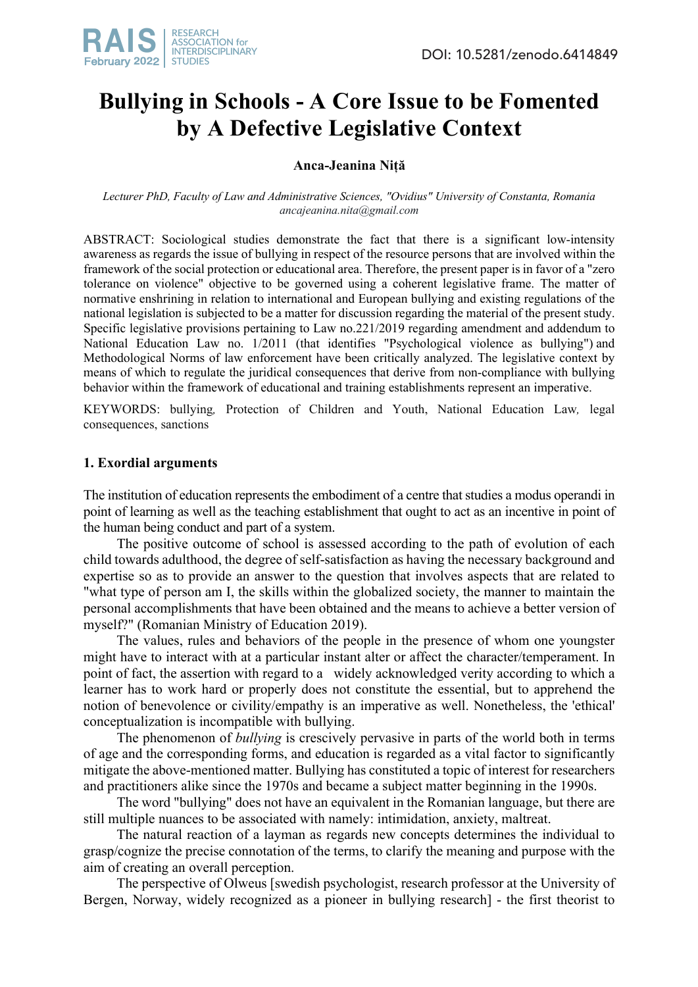

# **Bullying in Schools - A Core Issue to be Fomented by A Defective Legislative Context**

# **Anca-Jeanina Niță**

*Lecturer PhD, Faculty of Law and Administrative Sciences, "Ovidius" University of Constanta, Romania ancajeanina.nita@gmail.com*

ABSTRACT: Sociological studies demonstrate the fact that there is a significant low-intensity awareness as regards the issue of bullying in respect of the resource persons that are involved within the framework of the social protection or educational area. Therefore, the present paper is in favor of a "zero tolerance on violence" objective to be governed using a coherent legislative frame. The matter of normative enshrining in relation to international and European bullying and existing regulations of the national legislation is subjected to be a matter for discussion regarding the material of the present study. Specific legislative provisions pertaining to Law no.221/2019 regarding amendment and addendum to National Education Law no. 1/2011 (that identifies "Psychological violence as bullying") and Methodological Norms of law enforcement have been critically analyzed. The legislative context by means of which to regulate the juridical consequences that derive from non-compliance with bullying behavior within the framework of educational and training establishments represent an imperative.

KEYWORDS: bullying*,* Protection of Children and Youth, National Education Law*,* legal consequences, sanctions

### **1. Exordial arguments**

The institution of education represents the embodiment of a centre that studies a modus operandi in point of learning as well as the teaching establishment that ought to act as an incentive in point of the human being conduct and part of a system.

The positive outcome of school is assessed according to the path of evolution of each child towards adulthood, the degree of self-satisfaction as having the necessary background and expertise so as to provide an answer to the question that involves aspects that are related to "what type of person am I, the skills within the globalized society, the manner to maintain the personal accomplishments that have been obtained and the means to achieve a better version of myself?" (Romanian Ministry of Education 2019).

The values, rules and behaviors of the people in the presence of whom one youngster might have to interact with at a particular instant alter or affect the character/temperament. In point of fact, the assertion with regard to a widely acknowledged verity according to which a learner has to work hard or properly does not constitute the essential, but to apprehend the notion of benevolence or civility/empathy is an imperative as well. Nonetheless, the 'ethical' conceptualization is incompatible with bullying.

The phenomenon of *bullying* is crescively pervasive in parts of the world both in terms of age and the corresponding forms, and education is regarded as a vital factor to significantly mitigate the above-mentioned matter. Bullying has constituted a topic of interest for researchers and practitioners alike since the 1970s and became a subject matter beginning in the 1990s.

The word "bullying" does not have an equivalent in the Romanian language, but there are still multiple nuances to be associated with namely: intimidation, anxiety, maltreat.

The natural reaction of a layman as regards new concepts determines the individual to grasp/cognize the precise connotation of the terms, to clarify the meaning and purpose with the aim of creating an overall perception.

The perspective of Olweus [swedish psychologist, research professor at the University of Bergen, Norway, widely recognized as a pioneer in bullying research] - the first theorist to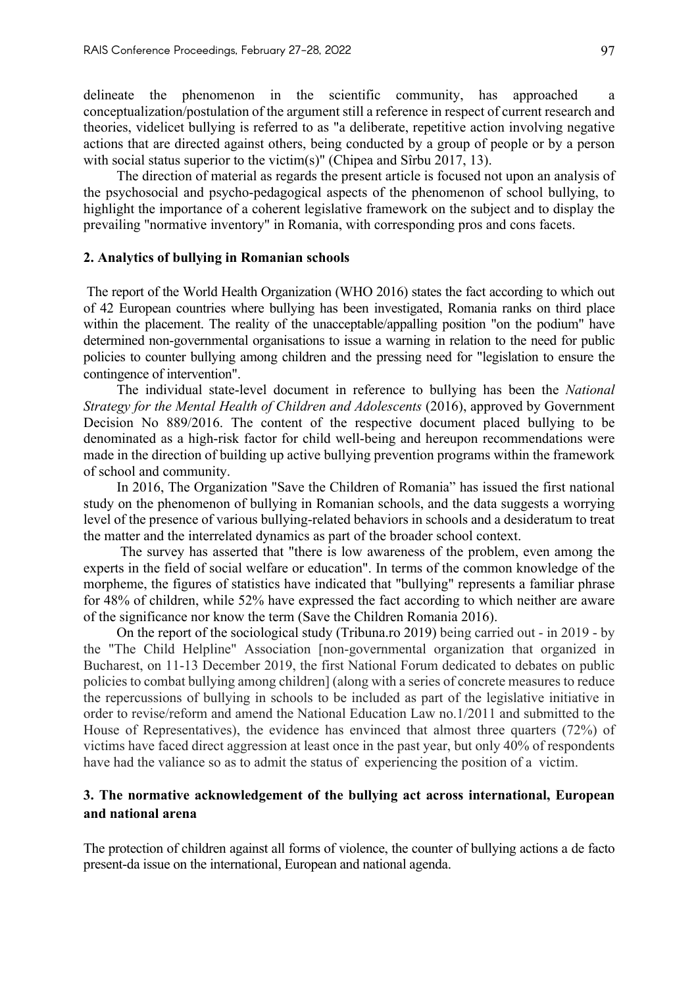delineate the phenomenon in the scientific community, has approached a conceptualization/postulation of the argument still a reference in respect of current research and theories, videlicet bullying is referred to as "a deliberate, repetitive action involving negative actions that are directed against others, being conducted by a group of people or by a person with social status superior to the victim(s)" (Chipea and Sîrbu 2017, 13).

The direction of material as regards the present article is focused not upon an analysis of the psychosocial and psycho-pedagogical aspects of the phenomenon of school bullying, to highlight the importance of a coherent legislative framework on the subject and to display the prevailing "normative inventory" in Romania, with corresponding pros and cons facets.

#### **2. Analytics of bullying in Romanian schools**

The report of the World Health Organization (WHO 2016) states the fact according to which out of 42 European countries where bullying has been investigated, Romania ranks on third place within the placement. The reality of the unacceptable/appalling position "on the podium" have determined non-governmental organisations to issue a warning in relation to the need for public policies to counter bullying among children and the pressing need for "legislation to ensure the contingence of intervention".

The individual state-level document in reference to bullying has been the *National Strategy for the Mental Health of Children and Adolescents* (2016), approved by Government Decision No 889/2016. The content of the respective document placed bullying to be denominated as a high-risk factor for child well-being and hereupon recommendations were made in the direction of building up active bullying prevention programs within the framework of school and community.

In 2016, The Organization "Save the Children of Romania" has issued the first national study on the phenomenon of bullying in Romanian schools, and the data suggests a worrying level of the presence of various bullying-related behaviors in schools and a desideratum to treat the matter and the interrelated dynamics as part of the broader school context.

The survey has asserted that "there is low awareness of the problem, even among the experts in the field of social welfare or education". In terms of the common knowledge of the morpheme, the figures of statistics have indicated that "bullying" represents a familiar phrase for 48% of children, while 52% have expressed the fact according to which neither are aware of the significance nor know the term (Save the Children Romania 2016).

On the report of the sociological study (Tribuna.ro 2019) being carried out - in 2019 - by the "The Child Helpline" Association [non-governmental organization that organized in Bucharest, on 11-13 December 2019, the first National Forum dedicated to debates on public policies to combat bullying among children] (along with a series of concrete measures to reduce the repercussions of bullying in schools to be included as part of the legislative initiative in order to revise/reform and amend the National Education Law no.1/2011 and submitted to the House of Representatives), the evidence has envinced that almost three quarters (72%) of victims have faced direct aggression at least once in the past year, but only 40% of respondents have had the valiance so as to admit the status of experiencing the position of a victim.

# **3. The normative acknowledgement of the bullying act across international, European and national arena**

The protection of children against all forms of violence, the counter of bullying actions a de facto present-da issue on the international, European and national agenda.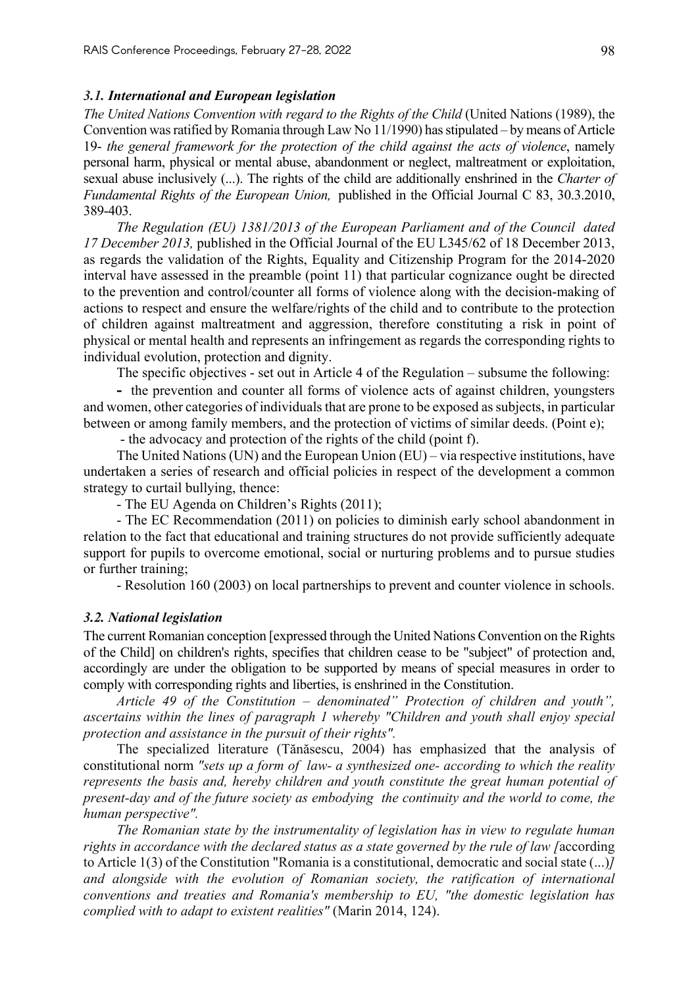#### *3.1. International and European legislation*

*The United Nations Convention with regard to the Rights of the Child* (United Nations (1989), the Convention was ratified by Romania through Law No 11/1990) has stipulated – by means of Article 19- *the general framework for the protection of the child against the acts of violence*, namely personal harm, physical or mental abuse, abandonment or neglect, maltreatment or exploitation, sexual abuse inclusively (...). The rights of the child are additionally enshrined in the *Charter of Fundamental Rights of the European Union,* published in the Official Journal C 83, 30.3.2010, 389-403.

*The Regulation (EU) 1381/2013 of the European Parliament and of the Council dated 17 December 2013,* published in the Official Journal of the EU L345/62 of 18 December 2013, as regards the validation of the Rights, Equality and Citizenship Program for the 2014-2020 interval have assessed in the preamble (point 11) that particular cognizance ought be directed to the prevention and control/counter all forms of violence along with the decision-making of actions to respect and ensure the welfare/rights of the child and to contribute to the protection of children against maltreatment and aggression, therefore constituting a risk in point of physical or mental health and represents an infringement as regards the corresponding rights to individual evolution, protection and dignity.

The specific objectives - set out in Article 4 of the Regulation – subsume the following:

**-** the prevention and counter all forms of violence acts of against children, youngsters and women, other categories of individuals that are prone to be exposed as subjects, in particular between or among family members, and the protection of victims of similar deeds. (Point e);

- the advocacy and protection of the rights of the child (point f).

The United Nations (UN) and the European Union (EU) – via respective institutions, have undertaken a series of research and official policies in respect of the development a common strategy to curtail bullying, thence:

- The EU Agenda on Children's Rights (2011);

- The EC Recommendation (2011) on policies to diminish early school abandonment in relation to the fact that educational and training structures do not provide sufficiently adequate support for pupils to overcome emotional, social or nurturing problems and to pursue studies or further training;

- Resolution 160 (2003) on local partnerships to prevent and counter violence in schools.

#### *3.2. National legislation*

The current Romanian conception [expressed through the United Nations Convention on the Rights of the Child] on children's rights, specifies that children cease to be "subject" of protection and, accordingly are under the obligation to be supported by means of special measures in order to comply with corresponding rights and liberties, is enshrined in the Constitution.

*Article 49 of the Constitution – denominated" Protection of children and youth", ascertains within the lines of paragraph 1 whereby "Children and youth shall enjoy special protection and assistance in the pursuit of their rights".*

The specialized literature (Tănăsescu, 2004) has emphasized that the analysis of constitutional norm *"sets up a form of law- a synthesized one- according to which the reality represents the basis and, hereby children and youth constitute the great human potential of present-day and of the future society as embodying the continuity and the world to come, the human perspective".*

*The Romanian state by the instrumentality of legislation has in view to regulate human rights in accordance with the declared status as a state governed by the rule of law [*according to Article 1(3) of the Constitution "Romania is a constitutional, democratic and social state (...)*] and alongside with the evolution of Romanian society, the ratification of international conventions and treaties and Romania's membership to EU, "the domestic legislation has complied with to adapt to existent realities"* (Marin 2014, 124).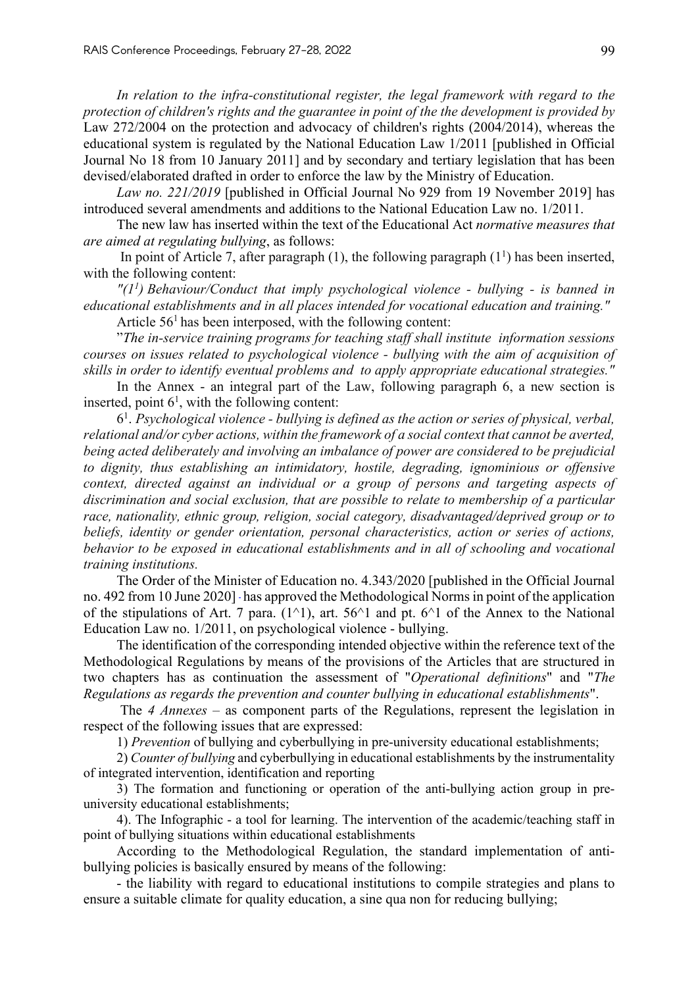*In relation to the infra-constitutional register, the legal framework with regard to the protection of children's rights and the guarantee in point of the the development is provided by* Law 272/2004 on the protection and advocacy of children's rights (2004/2014), whereas the educational system is regulated by the National Education Law 1/2011 [published in Official Journal No 18 from 10 January 2011] and by secondary and tertiary legislation that has been devised/elaborated drafted in order to enforce the law by the Ministry of Education.

*Law no. 221/2019* [published in Official Journal No 929 from 19 November 2019] has introduced several amendments and additions to the National Education Law no. 1/2011.

The new law has inserted within the text of the Educational Act *normative measures that are aimed at regulating bullying*, as follows:

In point of Article 7, after paragraph  $(1)$ , the following paragraph  $(1<sup>1</sup>)$  has been inserted, with the following content:

*"(11 ) Behaviour/Conduct that imply psychological violence - bullying - is banned in educational establishments and in all places intended for vocational education and training."* Article  $56<sup>1</sup>$  has been interposed, with the following content:

"*The in-service training programs for teaching staff shall institute information sessions courses on issues related to psychological violence - bullying with the aim of acquisition of skills in order to identify eventual problems and to apply appropriate educational strategies."*

In the Annex - an integral part of the Law, following paragraph 6, a new section is inserted, point  $6<sup>1</sup>$ , with the following content:

61 . *Psychological violence - bullying is defined as the action or series of physical, verbal, relational and/or cyber actions, within the framework of a social context that cannot be averted, being acted deliberately and involving an imbalance of power are considered to be prejudicial to dignity, thus establishing an intimidatory, hostile, degrading, ignominious or offensive context, directed against an individual or a group of persons and targeting aspects of discrimination and social exclusion, that are possible to relate to membership of a particular race, nationality, ethnic group, religion, social category, disadvantaged/deprived group or to beliefs, identity or gender orientation, personal characteristics, action or series of actions, behavior to be exposed in educational establishments and in all of schooling and vocational training institutions.*

The Order of the Minister of Education no. 4.343/2020 [published in the Official Journal no. 492 from 10 June 2020] has approved the Methodological Norms in point of the application of the stipulations of Art. 7 para.  $(1^{\wedge}1)$ , art. 56 $^{\wedge}1$  and pt. 6 $^{\wedge}1$  of the Annex to the National Education Law no. 1/2011, on psychological violence - bullying.

The identification of the corresponding intended objective within the reference text of the Methodological Regulations by means of the provisions of the Articles that are structured in two chapters has as continuation the assessment of "*Operational definitions*" and "*The Regulations as regards the prevention and counter bullying in educational establishments*".

The *4 Annexes* – as component parts of the Regulations, represent the legislation in respect of the following issues that are expressed:

1) *Prevention* of bullying and cyberbullying in pre-university educational establishments;

2) *Counter of bullying* and cyberbullying in educational establishments by the instrumentality of integrated intervention, identification and reporting

3) The formation and functioning or operation of the anti-bullying action group in preuniversity educational establishments;

4). The Infographic - a tool for learning. The intervention of the academic/teaching staff in point of bullying situations within educational establishments

According to the Methodological Regulation, the standard implementation of antibullying policies is basically ensured by means of the following:

- the liability with regard to educational institutions to compile strategies and plans to ensure a suitable climate for quality education, a sine qua non for reducing bullying;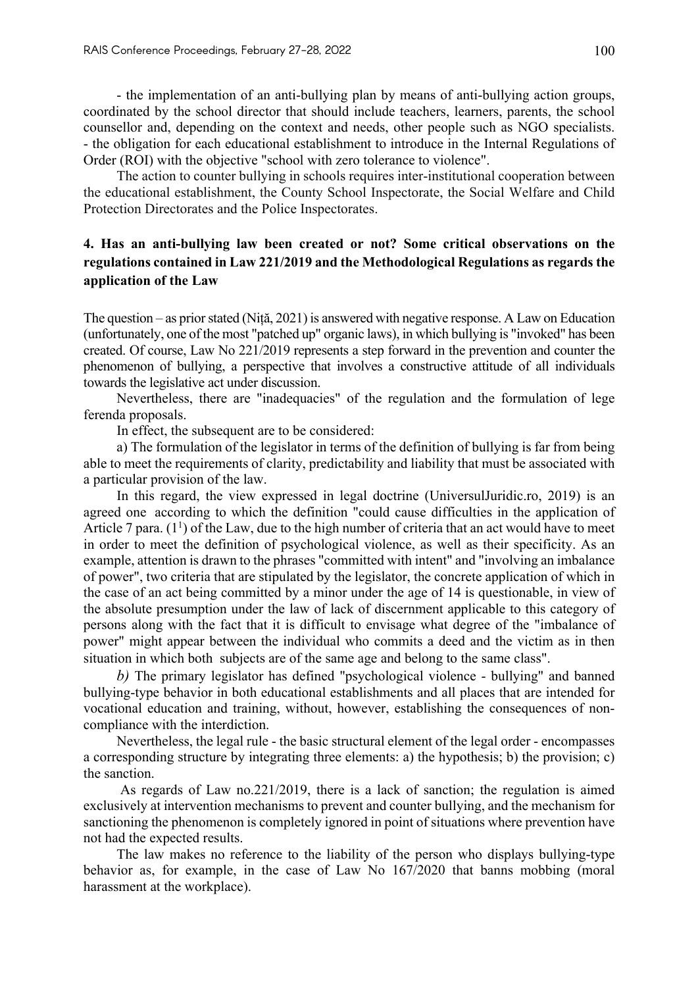- the implementation of an anti-bullying plan by means of anti-bullying action groups, coordinated by the school director that should include teachers, learners, parents, the school counsellor and, depending on the context and needs, other people such as NGO specialists. - the obligation for each educational establishment to introduce in the Internal Regulations of Order (ROI) with the objective "school with zero tolerance to violence".

The action to counter bullying in schools requires inter-institutional cooperation between the educational establishment, the County School Inspectorate, the Social Welfare and Child Protection Directorates and the Police Inspectorates.

# **4. Has an anti-bullying law been created or not? Some critical observations on the regulations contained in Law 221/2019 and the Methodological Regulations as regards the application of the Law**

The question – as prior stated (Niță, 2021) is answered with negative response. A Law on Education (unfortunately, one of the most "patched up" organic laws), in which bullying is "invoked" has been created. Of course, Law No 221/2019 represents a step forward in the prevention and counter the phenomenon of bullying, a perspective that involves a constructive attitude of all individuals towards the legislative act under discussion.

Nevertheless, there are "inadequacies" of the regulation and the formulation of lege ferenda proposals.

In effect, the subsequent are to be considered:

a) The formulation of the legislator in terms of the definition of bullying is far from being able to meet the requirements of clarity, predictability and liability that must be associated with a particular provision of the law.

In this regard, the view expressed in legal doctrine (UniversulJuridic.ro, 2019) is an agreed one according to which the definition "could cause difficulties in the application of Article 7 para.  $(1^1)$  of the Law, due to the high number of criteria that an act would have to meet in order to meet the definition of psychological violence, as well as their specificity. As an example, attention is drawn to the phrases "committed with intent" and "involving an imbalance of power", two criteria that are stipulated by the legislator, the concrete application of which in the case of an act being committed by a minor under the age of 14 is questionable, in view of the absolute presumption under the law of lack of discernment applicable to this category of persons along with the fact that it is difficult to envisage what degree of the "imbalance of power" might appear between the individual who commits a deed and the victim as in then situation in which both subjects are of the same age and belong to the same class".

*b)* The primary legislator has defined "psychological violence - bullying" and banned bullying-type behavior in both educational establishments and all places that are intended for vocational education and training, without, however, establishing the consequences of noncompliance with the interdiction.

Nevertheless, the legal rule - the basic structural element of the legal order - encompasses a corresponding structure by integrating three elements: a) the hypothesis; b) the provision; c) the sanction.

As regards of Law no.221/2019, there is a lack of sanction; the regulation is aimed exclusively at intervention mechanisms to prevent and counter bullying, and the mechanism for sanctioning the phenomenon is completely ignored in point of situations where prevention have not had the expected results.

The law makes no reference to the liability of the person who displays bullying-type behavior as, for example, in the case of Law No 167/2020 that banns mobbing (moral harassment at the workplace).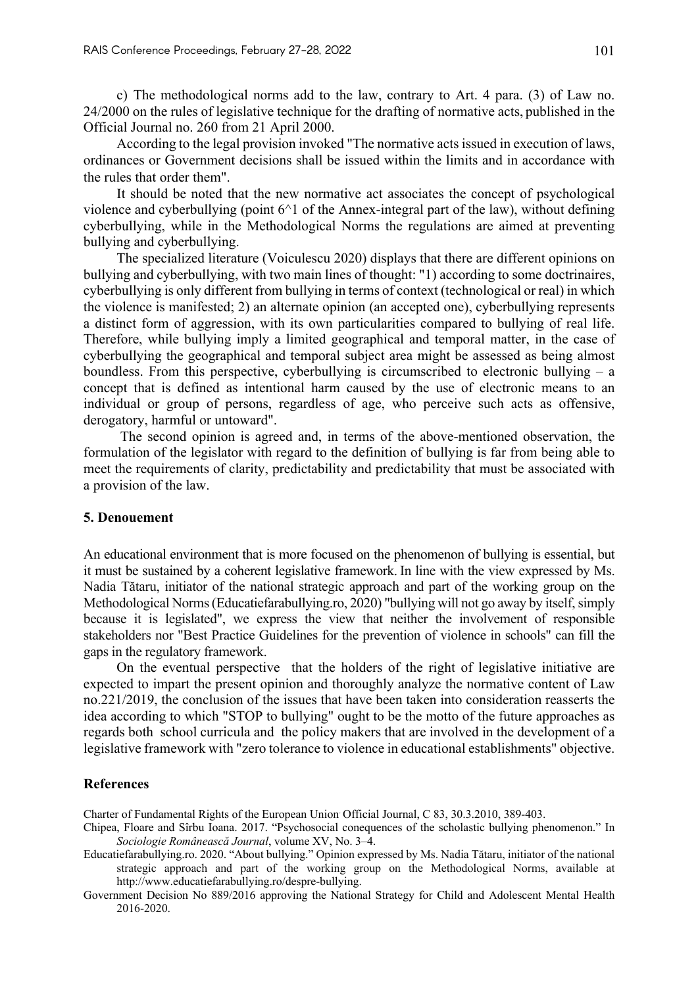c) The methodological norms add to the law, contrary to Art. 4 para. (3) of Law no. 24/2000 on the rules of legislative technique for the drafting of normative acts, published in the Official Journal no. 260 from 21 April 2000.

According to the legal provision invoked "The normative acts issued in execution of laws, ordinances or Government decisions shall be issued within the limits and in accordance with the rules that order them".

It should be noted that the new normative act associates the concept of psychological violence and cyberbullying (point  $6^{\wedge}1$  of the Annex-integral part of the law), without defining cyberbullying, while in the Methodological Norms the regulations are aimed at preventing bullying and cyberbullying.

The specialized literature (Voiculescu 2020) displays that there are different opinions on bullying and cyberbullying, with two main lines of thought: "1) according to some doctrinaires, cyberbullying is only different from bullying in terms of context (technological or real) in which the violence is manifested; 2) an alternate opinion (an accepted one), cyberbullying represents a distinct form of aggression, with its own particularities compared to bullying of real life. Therefore, while bullying imply a limited geographical and temporal matter, in the case of cyberbullying the geographical and temporal subject area might be assessed as being almost boundless. From this perspective, cyberbullying is circumscribed to electronic bullying – a concept that is defined as intentional harm caused by the use of electronic means to an individual or group of persons, regardless of age, who perceive such acts as offensive, derogatory, harmful or untoward".

The second opinion is agreed and, in terms of the above-mentioned observation, the formulation of the legislator with regard to the definition of bullying is far from being able to meet the requirements of clarity, predictability and predictability that must be associated with a provision of the law.

#### **5. Denouement**

An educational environment that is more focused on the phenomenon of bullying is essential, but it must be sustained by a coherent legislative framework. In line with the view expressed by Ms. Nadia Tătaru, initiator of the national strategic approach and part of the working group on the Methodological Norms(Educatiefarabullying.ro, 2020) "bullying will not go away by itself, simply because it is legislated", we express the view that neither the involvement of responsible stakeholders nor "Best Practice Guidelines for the prevention of violence in schools" can fill the gaps in the regulatory framework.

On the eventual perspective that the holders of the right of legislative initiative are expected to impart the present opinion and thoroughly analyze the normative content of Law no.221/2019, the conclusion of the issues that have been taken into consideration reasserts the idea according to which "STOP to bullying" ought to be the motto of the future approaches as regards both school curricula and the policy makers that are involved in the development of a legislative framework with "zero tolerance to violence in educational establishments" objective.

#### **References**

Charter of Fundamental Rights of the European Union. Official Journal, C 83, 30.3.2010, 389-403.

- Chipea, Floare and Sîrbu Ioana. 2017. "Psychosocial conequences of the scholastic bullying phenomenon." In *Sociologie Românească Journal*, volume XV, No. 3–4.
- Educatiefarabullying.ro. 2020. "About bullying." Opinion expressed by Ms. Nadia Tătaru, initiator of the national strategic approach and part of the working group on the Methodological Norms, available at http://www.educatiefarabullying.ro/despre-bullying.
- Government Decision No 889/2016 approving the National Strategy for Child and Adolescent Mental Health 2016-2020.